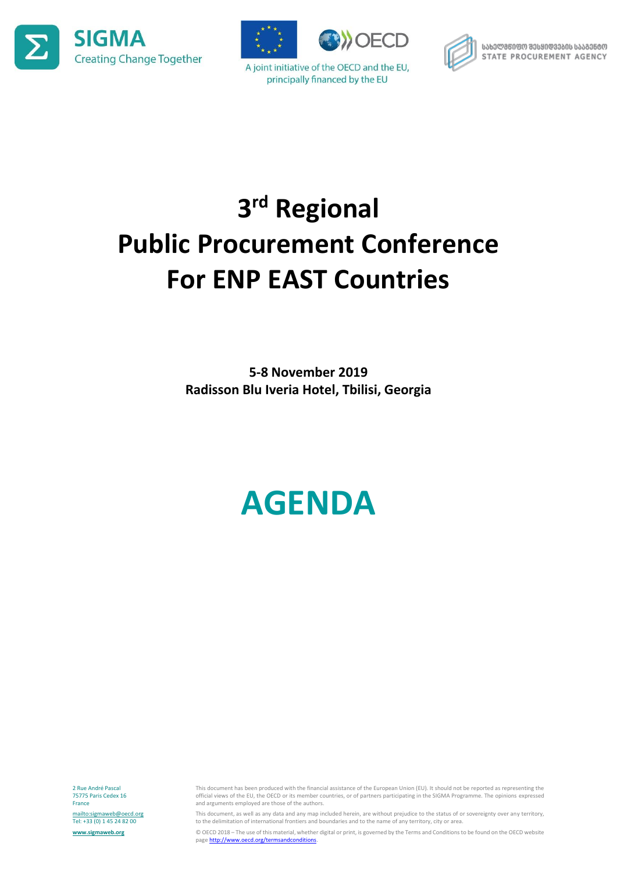





A joint initiative of the OECD and the EU, principally financed by the EU



ᲡᲐᲮᲔᲚᲛᲬᲘᲤᲝ ᲨᲔᲡᲧᲘᲓᲕᲔᲑᲘᲡ ᲡᲐᲐᲒᲔᲜᲢᲝ STATE PROCUREMENT AGENCY

# **3 rd Regional Public Procurement Conference For ENP EAST Countries**

**5-8 November 2019 Radisson Blu Iveria Hotel, Tbilisi, Georgia**

# **AGENDA**

2 Rue André Pascal 75775 Paris Cedex 16 France <mailto:sigmaweb@oecd.org> Tel: +33 (0) 1 45 24 82 00 **[www.sigmaweb.org](http://www.sigmaweb.org/)**

This document has been produced with the financial assistance of the European Union (EU). It should not be reported as representing the official views of the EU, the OECD or its member countries, or of partners participating in the SIGMA Programme. The opinions expressed and arguments employed are those of the authors.

This document, as well as any data and any map included herein, are without prejudice to the status of or sovereignty over any territory, to the delimitation of international frontiers and boundaries and to the name of any territory, city or area.

© OECD 2018 – The use of this material, whether digital or print, is governed by the Terms and Conditions to be found on the OECD website page http://www.oecd.org/termsandconditions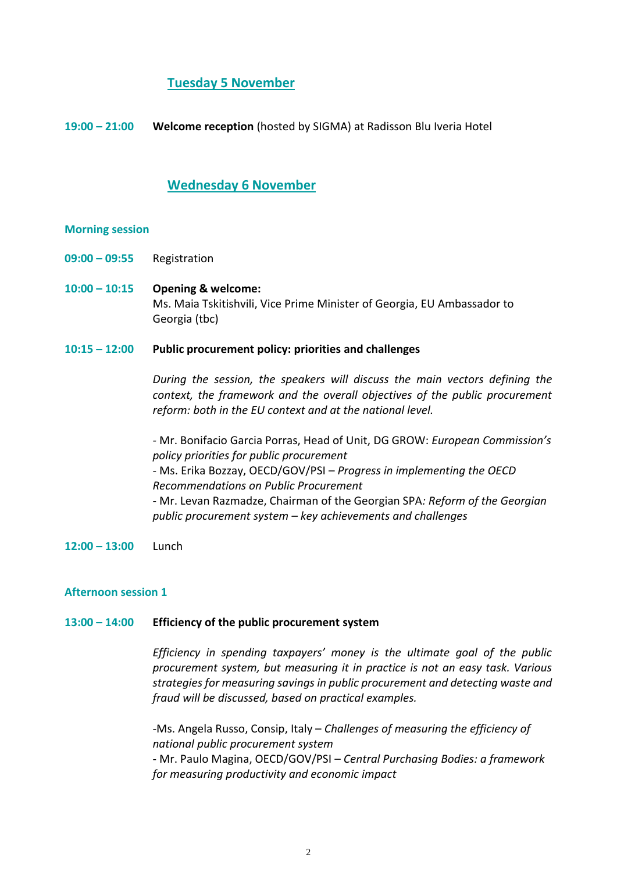## **Tuesday 5 November**

**19:00 – 21:00 Welcome reception** (hosted by SIGMA) at Radisson Blu Iveria Hotel

## **Wednesday 6 November**

#### **Morning session**

**09:00 – 09:55** Registration

**10:00 – 10:15 Opening & welcome:** Ms. Maia Tskitishvili, Vice Prime Minister of Georgia, EU Ambassador to Georgia (tbc)

#### **10:15 – 12:00 Public procurement policy: priorities and challenges**

*During the session, the speakers will discuss the main vectors defining the context, the framework and the overall objectives of the public procurement reform: both in the EU context and at the national level.* 

*-* Mr. Bonifacio Garcia Porras, Head of Unit, DG GROW: *European Commission's policy priorities for public procurement* - Ms. Erika Bozzay, OECD/GOV/PSI – *Progress in implementing the OECD Recommendations on Public Procurement* - Mr. Levan Razmadze, Chairman of the Georgian SPA*: Reform of the Georgian public procurement system – key achievements and challenges*

**12:00 – 13:00** Lunch

#### **Afternoon session 1**

#### **13:00 – 14:00 Efficiency of the public procurement system**

*Efficiency in spending taxpayers' money is the ultimate goal of the public procurement system, but measuring it in practice is not an easy task. Various strategies for measuring savings in public procurement and detecting waste and fraud will be discussed, based on practical examples.*

*-*Ms. Angela Russo, Consip, Italy – *Challenges of measuring the efficiency of national public procurement system* - Mr. Paulo Magina, OECD/GOV/PSI – *Central Purchasing Bodies: a framework for measuring productivity and economic impact*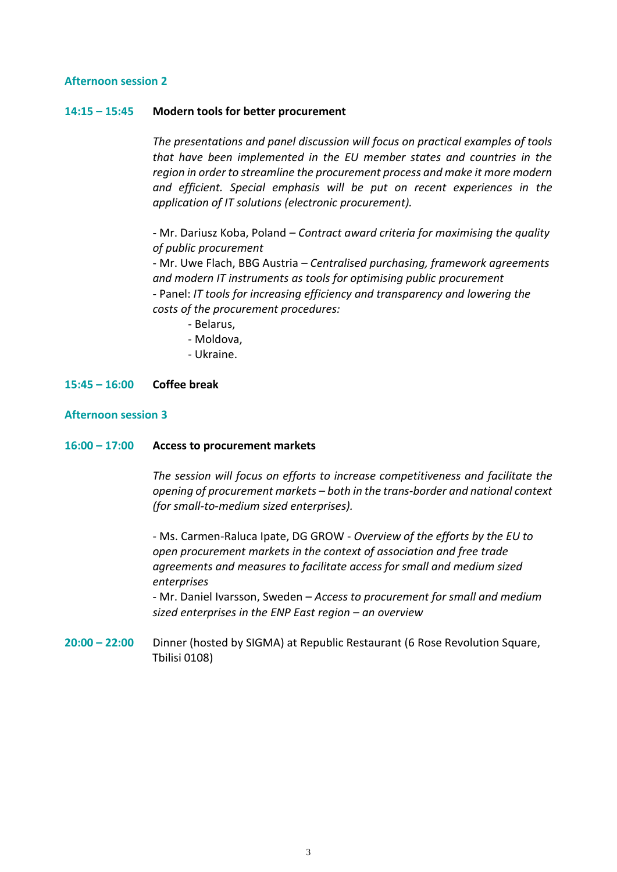#### **Afternoon session 2**

#### **14:15 – 15:45 Modern tools for better procurement**

*The presentations and panel discussion will focus on practical examples of tools that have been implemented in the EU member states and countries in the region in order to streamline the procurement process and make it more modern and efficient. Special emphasis will be put on recent experiences in the application of IT solutions (electronic procurement).*

*-* Mr. Dariusz Koba, Poland *– Contract award criteria for maximising the quality of public procurement* 

- Mr. Uwe Flach, BBG Austria – *Centralised purchasing, framework agreements and modern IT instruments as tools for optimising public procurement* - Panel: *IT tools for increasing efficiency and transparency and lowering the costs of the procurement procedures:*

- Belarus,
- Moldova,
- Ukraine.

## **15:45 – 16:00 Coffee break**

#### **Afternoon session 3**

#### **16:00 – 17:00 Access to procurement markets**

*The session will focus on efforts to increase competitiveness and facilitate the opening of procurement markets – both in the trans-border and national context (for small-to-medium sized enterprises).*

- Ms. Carmen-Raluca Ipate, DG GROW - *Overview of the efforts by the EU to open procurement markets in the context of association and free trade agreements and measures to facilitate access for small and medium sized enterprises* 

- Mr. Daniel Ivarsson, Sweden – *Access to procurement for small and medium sized enterprises in the ENP East region – an overview*

**20:00 – 22:00** Dinner (hosted by SIGMA) at Republic Restaurant (6 Rose Revolution Square, Tbilisi 0108)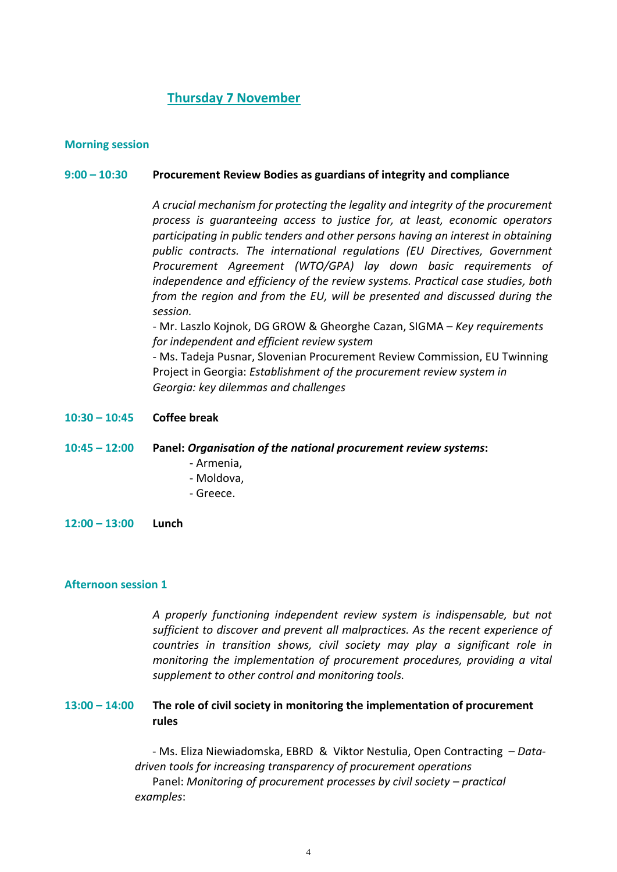## **Thursday 7 November**

### **Morning session**

#### **9:00 – 10:30 Procurement Review Bodies as guardians of integrity and compliance**

*A crucial mechanism for protecting the legality and integrity of the procurement process is guaranteeing access to justice for, at least, economic operators participating in public tenders and other persons having an interest in obtaining public contracts. The international regulations (EU Directives, Government Procurement Agreement (WTO/GPA) lay down basic requirements of independence and efficiency of the review systems. Practical case studies, both from the region and from the EU, will be presented and discussed during the session.*

- Mr. Laszlo Kojnok, DG GROW & Gheorghe Cazan, SIGMA – *Key requirements for independent and efficient review system*

- Ms. Tadeja Pusnar, Slovenian Procurement Review Commission, EU Twinning Project in Georgia: *Establishment of the procurement review system in Georgia: key dilemmas and challenges*

**10:30 – 10:45 Coffee break**

**10:45 – 12:00 Panel:** *Organisation of the national procurement review systems***:**

- Armenia,
- Moldova,
- Greece.
- **12:00 – 13:00 Lunch**

#### **Afternoon session 1**

*examples*:

*A properly functioning independent review system is indispensable, but not sufficient to discover and prevent all malpractices. As the recent experience of countries in transition shows, civil society may play a significant role in monitoring the implementation of procurement procedures, providing a vital supplement to other control and monitoring tools.*

### **13:00 – 14:00 The role of civil society in monitoring the implementation of procurement rules**

- Ms. Eliza Niewiadomska, EBRD & Viktor Nestulia, Open Contracting – *Datadriven tools for increasing transparency of procurement operations* Panel: *Monitoring of procurement processes by civil society – practical* 

4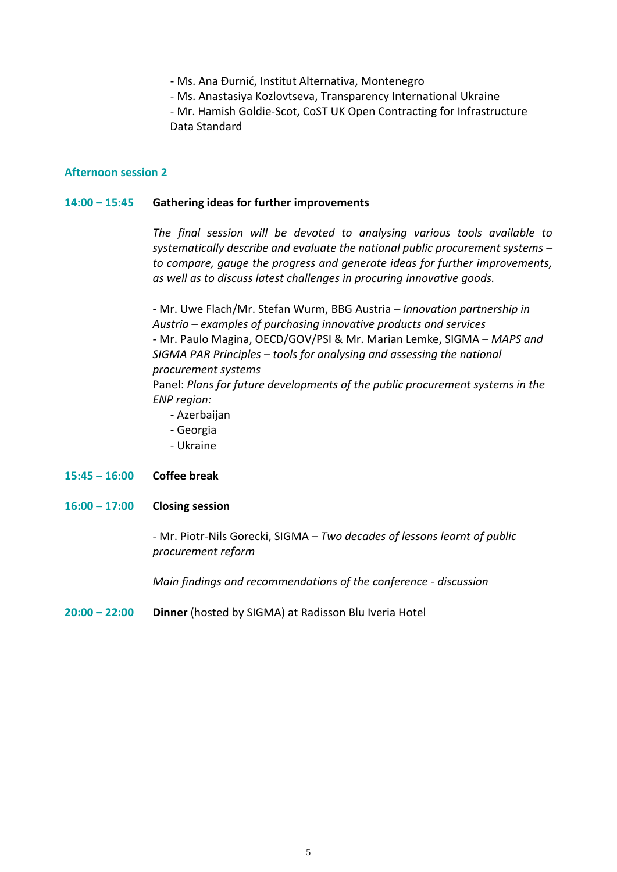- Ms. Ana Đurnić, Institut Alternativa, Montenegro
- Ms. Anastasiya Kozlovtseva, Transparency International Ukraine

- Mr. Hamish Goldie-Scot, CoST UK Open Contracting for Infrastructure Data Standard

#### **Afternoon session 2**

#### **14:00 – 15:45 Gathering ideas for further improvements**

*The final session will be devoted to analysing various tools available to systematically describe and evaluate the national public procurement systems – to compare, gauge the progress and generate ideas for further improvements, as well as to discuss latest challenges in procuring innovative goods.* 

- Mr. Uwe Flach/Mr. Stefan Wurm, BBG Austria – *Innovation partnership in Austria – examples of purchasing innovative products and services -* Mr. Paulo Magina, OECD/GOV/PSI & Mr. Marian Lemke, SIGMA – *MAPS and SIGMA PAR Principles – tools for analysing and assessing the national procurement systems*

Panel: *Plans for future developments of the public procurement systems in the ENP region:*

- Azerbaijan
- Georgia
- Ukraine

## **15:45 – 16:00 Coffee break**

**16:00 – 17:00 Closing session**

- Mr. Piotr-Nils Gorecki, SIGMA – *Two decades of lessons learnt of public procurement reform*

*Main findings and recommendations of the conference - discussion*

**20:00 – 22:00 Dinner** (hosted by SIGMA) at Radisson Blu Iveria Hotel